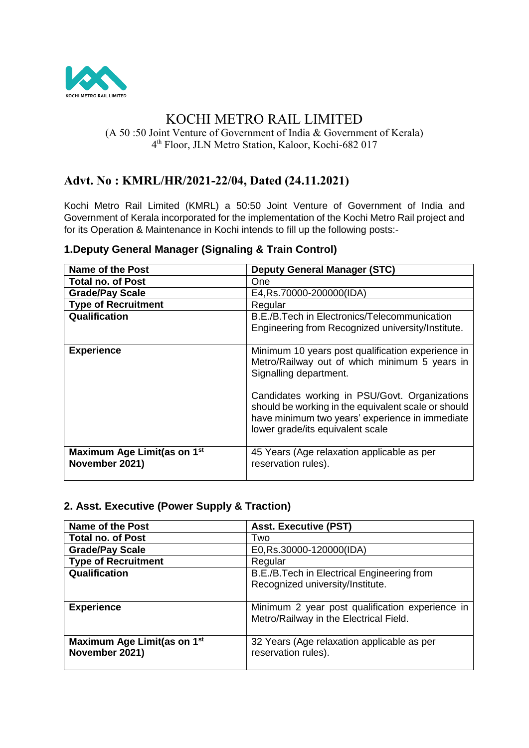

# KOCHI METRO RAIL LIMITED

(A 50 :50 Joint Venture of Government of India & Government of Kerala) 4 th Floor, JLN Metro Station, Kaloor, Kochi-682 017

# **Advt. No : KMRL/HR/2021-22/04, Dated (24.11.2021)**

Kochi Metro Rail Limited (KMRL) a 50:50 Joint Venture of Government of India and Government of Kerala incorporated for the implementation of the Kochi Metro Rail project and for its Operation & Maintenance in Kochi intends to fill up the following posts:-

| <b>Name of the Post</b>                                   | <b>Deputy General Manager (STC)</b>                                                                                                                                                         |
|-----------------------------------------------------------|---------------------------------------------------------------------------------------------------------------------------------------------------------------------------------------------|
| <b>Total no. of Post</b>                                  | One                                                                                                                                                                                         |
| <b>Grade/Pay Scale</b>                                    | E4, Rs. 70000-200000 (IDA)                                                                                                                                                                  |
| <b>Type of Recruitment</b>                                | Regular                                                                                                                                                                                     |
| Qualification                                             | B.E./B.Tech in Electronics/Telecommunication<br>Engineering from Recognized university/Institute.                                                                                           |
| <b>Experience</b>                                         | Minimum 10 years post qualification experience in<br>Metro/Railway out of which minimum 5 years in<br>Signalling department.                                                                |
|                                                           | Candidates working in PSU/Govt. Organizations<br>should be working in the equivalent scale or should<br>have minimum two years' experience in immediate<br>lower grade/its equivalent scale |
| Maximum Age Limit(as on 1 <sup>st</sup><br>November 2021) | 45 Years (Age relaxation applicable as per<br>reservation rules).                                                                                                                           |

## **1.Deputy General Manager (Signaling & Train Control)**

## **2. Asst. Executive (Power Supply & Traction)**

| <b>Name of the Post</b>                                   | <b>Asst. Executive (PST)</b>                                                              |
|-----------------------------------------------------------|-------------------------------------------------------------------------------------------|
| <b>Total no. of Post</b>                                  | Two                                                                                       |
| <b>Grade/Pay Scale</b>                                    | E0, Rs.30000-120000(IDA)                                                                  |
| <b>Type of Recruitment</b>                                | Regular                                                                                   |
| Qualification                                             | B.E./B.Tech in Electrical Engineering from<br>Recognized university/Institute.            |
| <b>Experience</b>                                         | Minimum 2 year post qualification experience in<br>Metro/Railway in the Electrical Field. |
| Maximum Age Limit(as on 1 <sup>st</sup><br>November 2021) | 32 Years (Age relaxation applicable as per<br>reservation rules).                         |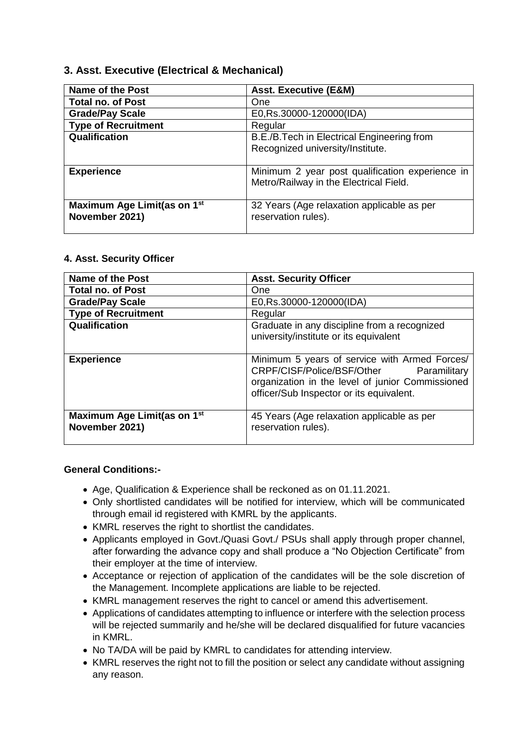## **3. Asst. Executive (Electrical & Mechanical)**

| Name of the Post                                          | <b>Asst. Executive (E&amp;M)</b>                                                          |
|-----------------------------------------------------------|-------------------------------------------------------------------------------------------|
| <b>Total no. of Post</b>                                  | One                                                                                       |
| <b>Grade/Pay Scale</b>                                    | E0, Rs.30000-120000(IDA)                                                                  |
| <b>Type of Recruitment</b>                                | Regular                                                                                   |
| Qualification                                             | B.E./B.Tech in Electrical Engineering from<br>Recognized university/Institute.            |
| <b>Experience</b>                                         | Minimum 2 year post qualification experience in<br>Metro/Railway in the Electrical Field. |
| Maximum Age Limit(as on 1 <sup>st</sup><br>November 2021) | 32 Years (Age relaxation applicable as per<br>reservation rules).                         |

#### **4. Asst. Security Officer**

| <b>Name of the Post</b>                                   | <b>Asst. Security Officer</b>                                                                                                                                                               |
|-----------------------------------------------------------|---------------------------------------------------------------------------------------------------------------------------------------------------------------------------------------------|
| <b>Total no. of Post</b>                                  | One                                                                                                                                                                                         |
| <b>Grade/Pay Scale</b>                                    | E0, Rs.30000-120000(IDA)                                                                                                                                                                    |
| <b>Type of Recruitment</b>                                | Regular                                                                                                                                                                                     |
| Qualification                                             | Graduate in any discipline from a recognized<br>university/institute or its equivalent                                                                                                      |
| <b>Experience</b>                                         | Minimum 5 years of service with Armed Forces/<br>CRPF/CISF/Police/BSF/Other<br>Paramilitary<br>organization in the level of junior Commissioned<br>officer/Sub Inspector or its equivalent. |
| Maximum Age Limit(as on 1 <sup>st</sup><br>November 2021) | 45 Years (Age relaxation applicable as per<br>reservation rules).                                                                                                                           |

## **General Conditions:-**

- Age, Qualification & Experience shall be reckoned as on 01.11.2021.
- Only shortlisted candidates will be notified for interview, which will be communicated through email id registered with KMRL by the applicants.
- KMRL reserves the right to shortlist the candidates.
- Applicants employed in Govt./Quasi Govt./ PSUs shall apply through proper channel, after forwarding the advance copy and shall produce a "No Objection Certificate" from their employer at the time of interview.
- Acceptance or rejection of application of the candidates will be the sole discretion of the Management. Incomplete applications are liable to be rejected.
- KMRL management reserves the right to cancel or amend this advertisement.
- Applications of candidates attempting to influence or interfere with the selection process will be rejected summarily and he/she will be declared disqualified for future vacancies in KMRL.
- No TA/DA will be paid by KMRL to candidates for attending interview.
- KMRL reserves the right not to fill the position or select any candidate without assigning any reason.